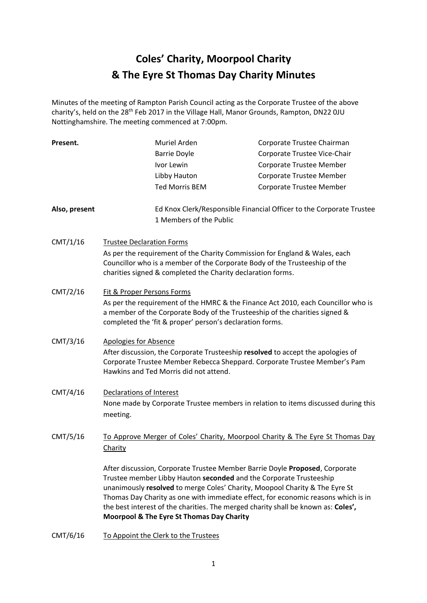# **Coles' Charity, Moorpool Charity & The Eyre St Thomas Day Charity Minutes**

Minutes of the meeting of Rampton Parish Council acting as the Corporate Trustee of the above charity's, held on the 28<sup>th</sup> Feb 2017 in the Village Hall, Manor Grounds, Rampton, DN22 0JU Nottinghamshire. The meeting commenced at 7:00pm.

| Present.      |                                                                                                                                                                                                                              | Muriel Arden                                                                                                                                                                                                                           | Corporate Trustee Chairman                                                                                                                                                                                                                            |  |  |
|---------------|------------------------------------------------------------------------------------------------------------------------------------------------------------------------------------------------------------------------------|----------------------------------------------------------------------------------------------------------------------------------------------------------------------------------------------------------------------------------------|-------------------------------------------------------------------------------------------------------------------------------------------------------------------------------------------------------------------------------------------------------|--|--|
|               |                                                                                                                                                                                                                              | <b>Barrie Doyle</b>                                                                                                                                                                                                                    | Corporate Trustee Vice-Chair                                                                                                                                                                                                                          |  |  |
|               |                                                                                                                                                                                                                              | Ivor Lewin                                                                                                                                                                                                                             | Corporate Trustee Member                                                                                                                                                                                                                              |  |  |
|               |                                                                                                                                                                                                                              | Libby Hauton                                                                                                                                                                                                                           | Corporate Trustee Member                                                                                                                                                                                                                              |  |  |
|               |                                                                                                                                                                                                                              | <b>Ted Morris BEM</b>                                                                                                                                                                                                                  | Corporate Trustee Member                                                                                                                                                                                                                              |  |  |
| Also, present |                                                                                                                                                                                                                              | 1 Members of the Public                                                                                                                                                                                                                | Ed Knox Clerk/Responsible Financial Officer to the Corporate Trustee                                                                                                                                                                                  |  |  |
| CMT/1/16      | <b>Trustee Declaration Forms</b>                                                                                                                                                                                             |                                                                                                                                                                                                                                        |                                                                                                                                                                                                                                                       |  |  |
|               |                                                                                                                                                                                                                              | As per the requirement of the Charity Commission for England & Wales, each<br>Councillor who is a member of the Corporate Body of the Trusteeship of the<br>charities signed & completed the Charity declaration forms.                |                                                                                                                                                                                                                                                       |  |  |
| CMT/2/16      | Fit & Proper Persons Forms                                                                                                                                                                                                   |                                                                                                                                                                                                                                        |                                                                                                                                                                                                                                                       |  |  |
|               | As per the requirement of the HMRC & the Finance Act 2010, each Councillor who is<br>a member of the Corporate Body of the Trusteeship of the charities signed &<br>completed the 'fit & proper' person's declaration forms. |                                                                                                                                                                                                                                        |                                                                                                                                                                                                                                                       |  |  |
| CMT/3/16      |                                                                                                                                                                                                                              | <b>Apologies for Absence</b><br>After discussion, the Corporate Trusteeship resolved to accept the apologies of<br>Corporate Trustee Member Rebecca Sheppard. Corporate Trustee Member's Pam<br>Hawkins and Ted Morris did not attend. |                                                                                                                                                                                                                                                       |  |  |
| CMT/4/16      | Declarations of Interest<br>meeting.                                                                                                                                                                                         |                                                                                                                                                                                                                                        | None made by Corporate Trustee members in relation to items discussed during this                                                                                                                                                                     |  |  |
| CMT/5/16      | To Approve Merger of Coles' Charity, Moorpool Charity & The Eyre St Thomas Day<br>Charity                                                                                                                                    |                                                                                                                                                                                                                                        |                                                                                                                                                                                                                                                       |  |  |
|               |                                                                                                                                                                                                                              | Trustee member Libby Hauton seconded and the Corporate Trusteeship<br>unanimously resolved to merge Coles' Charity, Moopool Charity & The Eyre St<br>Moorpool & The Eyre St Thomas Day Charity                                         | After discussion, Corporate Trustee Member Barrie Doyle Proposed, Corporate<br>Thomas Day Charity as one with immediate effect, for economic reasons which is in<br>the best interest of the charities. The merged charity shall be known as: Coles', |  |  |

CMT/6/16 To Appoint the Clerk to the Trustees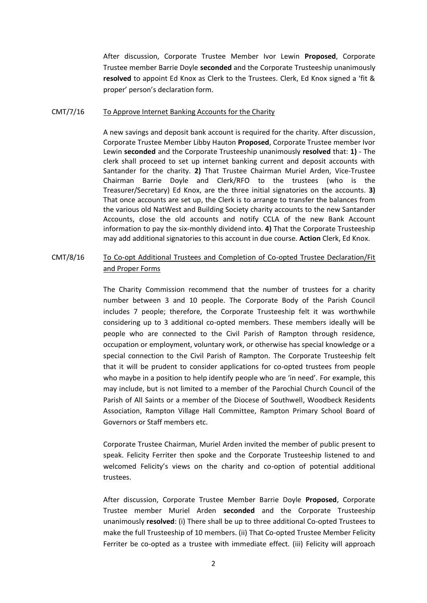After discussion, Corporate Trustee Member Ivor Lewin **Proposed**, Corporate Trustee member Barrie Doyle **seconded** and the Corporate Trusteeship unanimously **resolved** to appoint Ed Knox as Clerk to the Trustees. Clerk, Ed Knox signed a 'fit & proper' person's declaration form.

#### CMT/7/16 To Approve Internet Banking Accounts for the Charity

A new savings and deposit bank account is required for the charity. After discussion, Corporate Trustee Member Libby Hauton **Proposed**, Corporate Trustee member Ivor Lewin **seconded** and the Corporate Trusteeship unanimously **resolved** that: **1)** - The clerk shall proceed to set up internet banking current and deposit accounts with Santander for the charity. **2)** That Trustee Chairman Muriel Arden, Vice-Trustee Chairman Barrie Doyle and Clerk/RFO to the trustees (who is the Treasurer/Secretary) Ed Knox, are the three initial signatories on the accounts. **3)** That once accounts are set up, the Clerk is to arrange to transfer the balances from the various old NatWest and Building Society charity accounts to the new Santander Accounts, close the old accounts and notify CCLA of the new Bank Account information to pay the six-monthly dividend into. **4)** That the Corporate Trusteeship may add additional signatories to this account in due course. **Action** Clerk, Ed Knox.

# CMT/8/16 To Co-opt Additional Trustees and Completion of Co-opted Trustee Declaration/Fit and Proper Forms

The Charity Commission recommend that the number of trustees for a charity number between 3 and 10 people. The Corporate Body of the Parish Council includes 7 people; therefore, the Corporate Trusteeship felt it was worthwhile considering up to 3 additional co-opted members. These members ideally will be people who are connected to the Civil Parish of Rampton through residence, occupation or employment, voluntary work, or otherwise has special knowledge or a special connection to the Civil Parish of Rampton. The Corporate Trusteeship felt that it will be prudent to consider applications for co-opted trustees from people who maybe in a position to help identify people who are 'in need'. For example, this may include, but is not limited to a member of the Parochial Church Council of the Parish of All Saints or a member of the Diocese of Southwell, Woodbeck Residents Association, Rampton Village Hall Committee, Rampton Primary School Board of Governors or Staff members etc.

Corporate Trustee Chairman, Muriel Arden invited the member of public present to speak. Felicity Ferriter then spoke and the Corporate Trusteeship listened to and welcomed Felicity's views on the charity and co-option of potential additional trustees.

After discussion, Corporate Trustee Member Barrie Doyle **Proposed**, Corporate Trustee member Muriel Arden **seconded** and the Corporate Trusteeship unanimously **resolved**: (i) There shall be up to three additional Co-opted Trustees to make the full Trusteeship of 10 members. (ii) That Co-opted Trustee Member Felicity Ferriter be co-opted as a trustee with immediate effect. (iii) Felicity will approach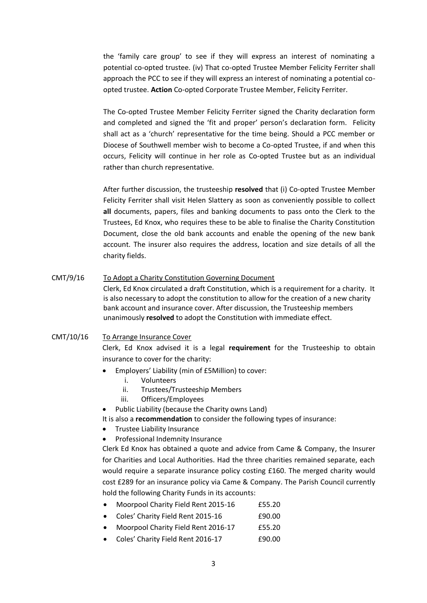the 'family care group' to see if they will express an interest of nominating a potential co-opted trustee. (iv) That co-opted Trustee Member Felicity Ferriter shall approach the PCC to see if they will express an interest of nominating a potential coopted trustee. **Action** Co-opted Corporate Trustee Member, Felicity Ferriter.

The Co-opted Trustee Member Felicity Ferriter signed the Charity declaration form and completed and signed the 'fit and proper' person's declaration form. Felicity shall act as a 'church' representative for the time being. Should a PCC member or Diocese of Southwell member wish to become a Co-opted Trustee, if and when this occurs, Felicity will continue in her role as Co-opted Trustee but as an individual rather than church representative.

After further discussion, the trusteeship **resolved** that (i) Co-opted Trustee Member Felicity Ferriter shall visit Helen Slattery as soon as conveniently possible to collect **all** documents, papers, files and banking documents to pass onto the Clerk to the Trustees, Ed Knox, who requires these to be able to finalise the Charity Constitution Document, close the old bank accounts and enable the opening of the new bank account. The insurer also requires the address, location and size details of all the charity fields.

CMT/9/16 To Adopt a Charity Constitution Governing Document Clerk, Ed Knox circulated a draft Constitution, which is a requirement for a charity. It is also necessary to adopt the constitution to allow for the creation of a new charity bank account and insurance cover. After discussion, the Trusteeship members unanimously **resolved** to adopt the Constitution with immediate effect.

# CMT/10/16 To Arrange Insurance Cover

Clerk, Ed Knox advised it is a legal **requirement** for the Trusteeship to obtain insurance to cover for the charity:

- Employers' Liability (min of £5Million) to cover:
	- i. Volunteers
	- ii. Trustees/Trusteeship Members
	- iii. Officers/Employees
- Public Liability (because the Charity owns Land)

It is also a **recommendation** to consider the following types of insurance:

- Trustee Liability Insurance
- Professional Indemnity Insurance

Clerk Ed Knox has obtained a quote and advice from Came & Company, the Insurer for Charities and Local Authorities. Had the three charities remained separate, each would require a separate insurance policy costing £160. The merged charity would cost £289 for an insurance policy via Came & Company. The Parish Council currently hold the following Charity Funds in its accounts:

- Moorpool Charity Field Rent 2015-16 £55.20
- Coles' Charity Field Rent 2015-16 **£90.00**
- Moorpool Charity Field Rent 2016-17 £55.20
- Coles' Charity Field Rent 2016-17 190.00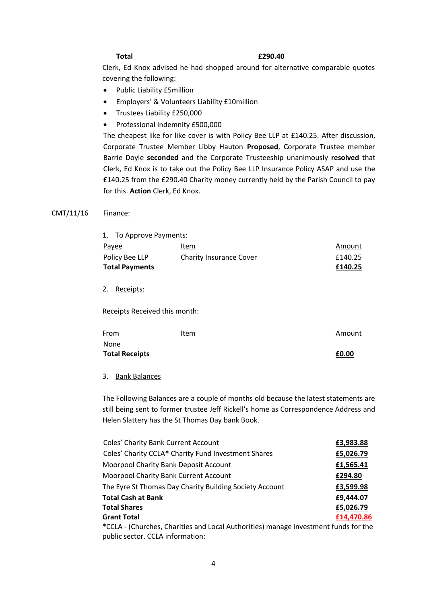### **Total £290.40**

Clerk, Ed Knox advised he had shopped around for alternative comparable quotes covering the following:

- Public Liability £5million
- Employers' & Volunteers Liability £10million
- Trustees Liability £250,000
- Professional Indemnity £500,000

The cheapest like for like cover is with Policy Bee LLP at £140.25. After discussion, Corporate Trustee Member Libby Hauton **Proposed**, Corporate Trustee member Barrie Doyle **seconded** and the Corporate Trusteeship unanimously **resolved** that Clerk, Ed Knox is to take out the Policy Bee LLP Insurance Policy ASAP and use the £140.25 from the £290.40 Charity money currently held by the Parish Council to pay for this. **Action** Clerk, Ed Knox.

# CMT/11/16 Finance:

| 1. To Approve Payments: |                                |         |
|-------------------------|--------------------------------|---------|
| Payee                   | Item                           | Amount  |
| Policy Bee LLP          | <b>Charity Insurance Cover</b> | £140.25 |
| <b>Total Payments</b>   |                                | £140.25 |
|                         |                                |         |

2. Receipts:

Receipts Received this month:

| From                  | <u>Item</u> | Amount |
|-----------------------|-------------|--------|
| None                  |             |        |
| <b>Total Receipts</b> |             | £0.00  |

# 3. Bank Balances

The Following Balances are a couple of months old because the latest statements are still being sent to former trustee Jeff Rickell's home as Correspondence Address and Helen Slattery has the St Thomas Day bank Book.

| Coles' Charity Bank Current Account                                                 | £3,983.88  |
|-------------------------------------------------------------------------------------|------------|
| Coles' Charity CCLA* Charity Fund Investment Shares                                 | £5,026.79  |
| Moorpool Charity Bank Deposit Account                                               | £1,565.41  |
| Moorpool Charity Bank Current Account                                               | £294.80    |
| The Eyre St Thomas Day Charity Building Society Account                             | £3,599.98  |
| Total Cash at Bank                                                                  | £9,444.07  |
| Total Shares                                                                        | £5,026.79  |
| <b>Grant Total</b>                                                                  | £14,470.86 |
| *CCLA - (Churches, Charities and Local Authorities) manage investment funds for the |            |

\*CCLA - (Churches, Charities and Local Authorities) manage investment funds for the public sector. CCLA information: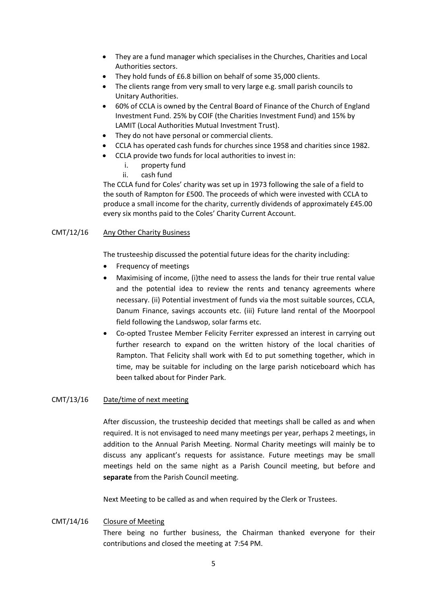- They are a fund manager which specialises in the Churches, Charities and Local Authorities sectors.
- They hold funds of £6.8 billion on behalf of some 35,000 clients.
- The clients range from very small to very large e.g. small parish councils to Unitary Authorities.
- 60% of CCLA is owned by the Central Board of Finance of the Church of England Investment Fund. 25% by COIF (the Charities Investment Fund) and 15% by LAMIT (Local Authorities Mutual Investment Trust).
- They do not have personal or commercial clients.
- CCLA has operated cash funds for churches since 1958 and charities since 1982.
- CCLA provide two funds for local authorities to invest in:
	- i. property fund
	- ii. cash fund

The CCLA fund for Coles' charity was set up in 1973 following the sale of a field to the south of Rampton for £500. The proceeds of which were invested with CCLA to produce a small income for the charity, currently dividends of approximately £45.00 every six months paid to the Coles' Charity Current Account.

# CMT/12/16 Any Other Charity Business

The trusteeship discussed the potential future ideas for the charity including:

- Frequency of meetings
- Maximising of income, (i)the need to assess the lands for their true rental value and the potential idea to review the rents and tenancy agreements where necessary. (ii) Potential investment of funds via the most suitable sources, CCLA, Danum Finance, savings accounts etc. (iii) Future land rental of the Moorpool field following the Landswop, solar farms etc.
- Co-opted Trustee Member Felicity Ferriter expressed an interest in carrying out further research to expand on the written history of the local charities of Rampton. That Felicity shall work with Ed to put something together, which in time, may be suitable for including on the large parish noticeboard which has been talked about for Pinder Park.

# CMT/13/16 Date/time of next meeting

After discussion, the trusteeship decided that meetings shall be called as and when required. It is not envisaged to need many meetings per year, perhaps 2 meetings, in addition to the Annual Parish Meeting. Normal Charity meetings will mainly be to discuss any applicant's requests for assistance. Future meetings may be small meetings held on the same night as a Parish Council meeting, but before and **separate** from the Parish Council meeting.

Next Meeting to be called as and when required by the Clerk or Trustees.

# CMT/14/16 Closure of Meeting

There being no further business, the Chairman thanked everyone for their contributions and closed the meeting at 7:54 PM.